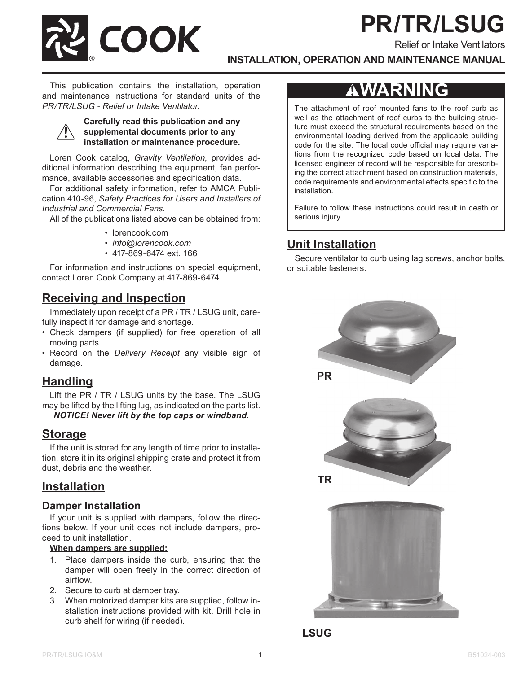# **PR/TR/LSUG**

Relief or Intake Ventilators

**COOK** 

**INSTALLATION, OPERATION AND MAINTENANCE MANUAL**

This publication contains the installation, operation and maintenance instructions for standard units of the *PR/TR/LSUG - Relief or Intake Ventilator.*

#### **Carefully read this publication and any supplemental documents prior to any installation or maintenance procedure.**

Loren Cook catalog, *Gravity Ventilation,* provides additional information describing the equipment, fan performance, available accessories and specification data.

For additional safety information, refer to AMCA Publication 410-96, *Safety Practices for Users and Installers of Industrial and Commercial Fans*.

All of the publications listed above can be obtained from:

- lorencook.com
- *• info@lorencook.com*
- 417-869-6474 ext. 166

For information and instructions on special equipment, contact Loren Cook Company at 417-869-6474.

# **Receiving and Inspection**

Immediately upon receipt of a PR / TR / LSUG unit, carefully inspect it for damage and shortage.

- Check dampers (if supplied) for free operation of all moving parts.
- Record on the *Delivery Receipt* any visible sign of damage.

## **Handling**

Lift the PR / TR / LSUG units by the base. The LSUG may be lifted by the lifting lug, as indicated on the parts list. *NOTICE! Never lift by the top caps or windband.*

## **Storage**

If the unit is stored for any length of time prior to installation, store it in its original shipping crate and protect it from dust, debris and the weather.

### **Installation**

#### **Damper Installation**

If your unit is supplied with dampers, follow the directions below. If your unit does not include dampers, proceed to unit installation.

#### **When dampers are supplied:**

- 1. Place dampers inside the curb, ensuring that the damper will open freely in the correct direction of airflow.
- 2. Secure to curb at damper tray.
- 3. When motorized damper kits are supplied, follow installation instructions provided with kit. Drill hole in curb shelf for wiring (if needed).

# **AWARNING**

The attachment of roof mounted fans to the roof curb as well as the attachment of roof curbs to the building structure must exceed the structural requirements based on the environmental loading derived from the applicable building code for the site. The local code official may require variations from the recognized code based on local data. The licensed engineer of record will be responsible for prescribing the correct attachment based on construction materials, code requirements and environmental effects specific to the installation.

Failure to follow these instructions could result in death or serious injury.

# **Unit Installation**

Secure ventilator to curb using lag screws, anchor bolts, or suitable fasteners.